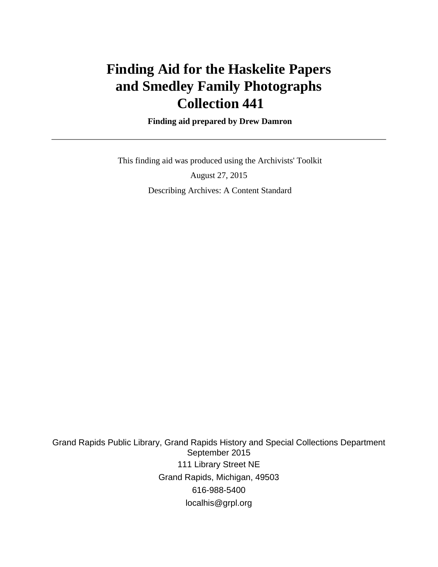# **Finding Aid for the Haskelite Papers and Smedley Family Photographs Collection 441**

 **Finding aid prepared by Drew Damron**

 This finding aid was produced using the Archivists' Toolkit August 27, 2015 Describing Archives: A Content Standard

Grand Rapids Public Library, Grand Rapids History and Special Collections Department September 2015 111 Library Street NE Grand Rapids, Michigan, 49503 616-988-5400 localhis@grpl.org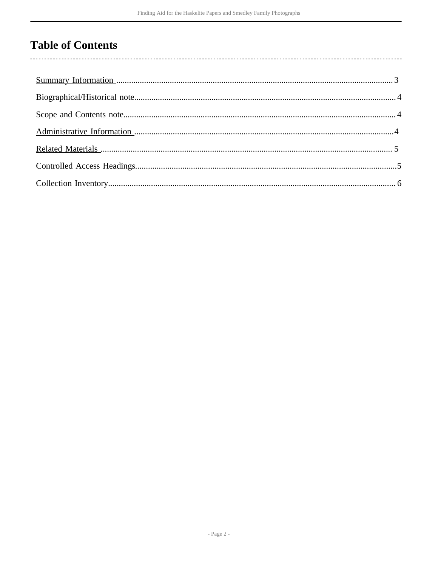# **Table of Contents**

 $\overline{\phantom{a}}$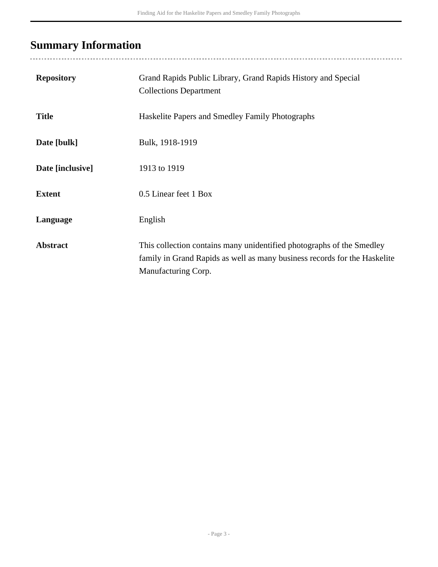# <span id="page-2-0"></span>**Summary Information**

| <b>Repository</b> | Grand Rapids Public Library, Grand Rapids History and Special<br><b>Collections Department</b>                                                                            |
|-------------------|---------------------------------------------------------------------------------------------------------------------------------------------------------------------------|
| <b>Title</b>      | Haskelite Papers and Smedley Family Photographs                                                                                                                           |
| Date [bulk]       | Bulk, 1918-1919                                                                                                                                                           |
| Date [inclusive]  | 1913 to 1919                                                                                                                                                              |
| <b>Extent</b>     | 0.5 Linear feet 1 Box                                                                                                                                                     |
| Language          | English                                                                                                                                                                   |
| <b>Abstract</b>   | This collection contains many unidentified photographs of the Smedley<br>family in Grand Rapids as well as many business records for the Haskelite<br>Manufacturing Corp. |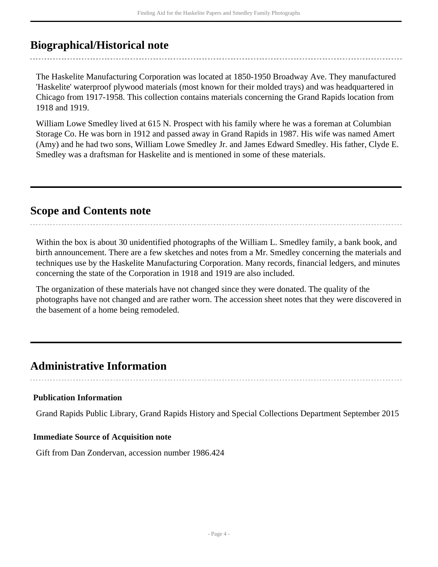## <span id="page-3-0"></span>**Biographical/Historical note**

The Haskelite Manufacturing Corporation was located at 1850-1950 Broadway Ave. They manufactured 'Haskelite' waterproof plywood materials (most known for their molded trays) and was headquartered in Chicago from 1917-1958. This collection contains materials concerning the Grand Rapids location from 1918 and 1919.

William Lowe Smedley lived at 615 N. Prospect with his family where he was a foreman at Columbian Storage Co. He was born in 1912 and passed away in Grand Rapids in 1987. His wife was named Amert (Amy) and he had two sons, William Lowe Smedley Jr. and James Edward Smedley. His father, Clyde E. Smedley was a draftsman for Haskelite and is mentioned in some of these materials.

## <span id="page-3-1"></span>**Scope and Contents note**

Within the box is about 30 unidentified photographs of the William L. Smedley family, a bank book, and birth announcement. There are a few sketches and notes from a Mr. Smedley concerning the materials and techniques use by the Haskelite Manufacturing Corporation. Many records, financial ledgers, and minutes concerning the state of the Corporation in 1918 and 1919 are also included.

The organization of these materials have not changed since they were donated. The quality of the photographs have not changed and are rather worn. The accession sheet notes that they were discovered in the basement of a home being remodeled.

## <span id="page-3-2"></span>**Administrative Information**

#### **Publication Information**

Grand Rapids Public Library, Grand Rapids History and Special Collections Department September 2015

#### **Immediate Source of Acquisition note**

Gift from Dan Zondervan, accession number 1986.424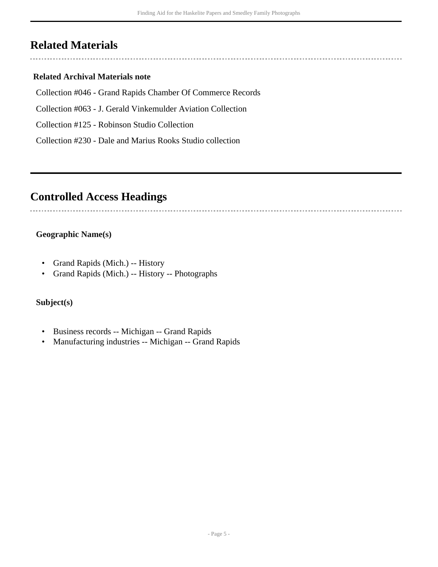## <span id="page-4-0"></span>**Related Materials**

#### **Related Archival Materials note**

- Collection #046 Grand Rapids Chamber Of Commerce Records
- Collection #063 J. Gerald Vinkemulder Aviation Collection
- Collection #125 Robinson Studio Collection
- Collection #230 Dale and Marius Rooks Studio collection

## <span id="page-4-1"></span>**Controlled Access Headings**

#### **Geographic Name(s)**

- Grand Rapids (Mich.) -- History
- Grand Rapids (Mich.) -- History -- Photographs

#### **Subject(s)**

- Business records -- Michigan -- Grand Rapids
- Manufacturing industries -- Michigan -- Grand Rapids